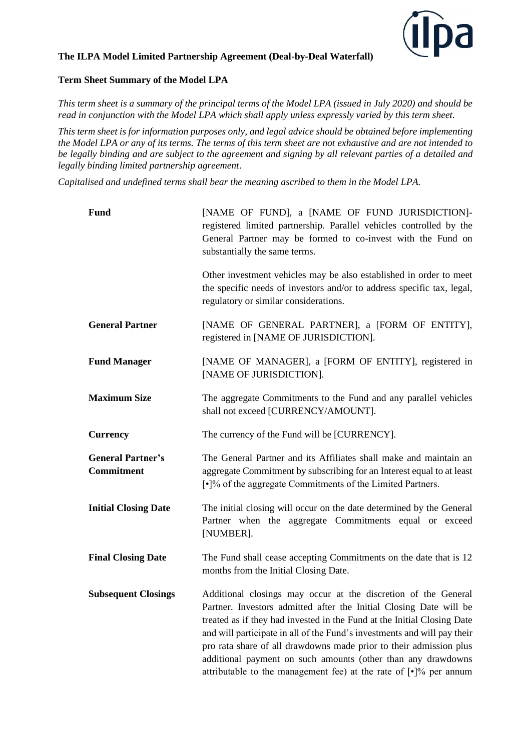

## **The ILPA Model Limited Partnership Agreement (Deal-by-Deal Waterfall)**

# **Term Sheet Summary of the Model LPA**

*This term sheet is a summary of the principal terms of the Model LPA (issued in July 2020) and should be read in conjunction with the Model LPA which shall apply unless expressly varied by this term sheet.* 

*This term sheet is for information purposes only, and legal advice should be obtained before implementing the Model LPA or any of its terms. The terms of this term sheet are not exhaustive and are not intended to be legally binding and are subject to the agreement and signing by all relevant parties of a detailed and legally binding limited partnership agreement*.

*Capitalised and undefined terms shall bear the meaning ascribed to them in the Model LPA.* 

| <b>Fund</b>                                   | [NAME OF FUND], a [NAME OF FUND JURISDICTION]-<br>registered limited partnership. Parallel vehicles controlled by the<br>General Partner may be formed to co-invest with the Fund on<br>substantially the same terms.                                                                                                                                                                                                                                                                                                     |
|-----------------------------------------------|---------------------------------------------------------------------------------------------------------------------------------------------------------------------------------------------------------------------------------------------------------------------------------------------------------------------------------------------------------------------------------------------------------------------------------------------------------------------------------------------------------------------------|
|                                               | Other investment vehicles may be also established in order to meet<br>the specific needs of investors and/or to address specific tax, legal,<br>regulatory or similar considerations.                                                                                                                                                                                                                                                                                                                                     |
| <b>General Partner</b>                        | [NAME OF GENERAL PARTNER], a [FORM OF ENTITY],<br>registered in [NAME OF JURISDICTION].                                                                                                                                                                                                                                                                                                                                                                                                                                   |
| <b>Fund Manager</b>                           | [NAME OF MANAGER], a [FORM OF ENTITY], registered in<br>[NAME OF JURISDICTION].                                                                                                                                                                                                                                                                                                                                                                                                                                           |
| <b>Maximum Size</b>                           | The aggregate Commitments to the Fund and any parallel vehicles<br>shall not exceed [CURRENCY/AMOUNT].                                                                                                                                                                                                                                                                                                                                                                                                                    |
| <b>Currency</b>                               | The currency of the Fund will be [CURRENCY].                                                                                                                                                                                                                                                                                                                                                                                                                                                                              |
| <b>General Partner's</b><br><b>Commitment</b> | The General Partner and its Affiliates shall make and maintain an<br>aggregate Commitment by subscribing for an Interest equal to at least<br>[.]% of the aggregate Commitments of the Limited Partners.                                                                                                                                                                                                                                                                                                                  |
| <b>Initial Closing Date</b>                   | The initial closing will occur on the date determined by the General<br>Partner when the aggregate Commitments equal or exceed<br>[NUMBER].                                                                                                                                                                                                                                                                                                                                                                               |
| <b>Final Closing Date</b>                     | The Fund shall cease accepting Commitments on the date that is 12<br>months from the Initial Closing Date.                                                                                                                                                                                                                                                                                                                                                                                                                |
| <b>Subsequent Closings</b>                    | Additional closings may occur at the discretion of the General<br>Partner. Investors admitted after the Initial Closing Date will be<br>treated as if they had invested in the Fund at the Initial Closing Date<br>and will participate in all of the Fund's investments and will pay their<br>pro rata share of all drawdowns made prior to their admission plus<br>additional payment on such amounts (other than any drawdowns<br>attributable to the management fee) at the rate of $\lceil \cdot \rceil\%$ per annum |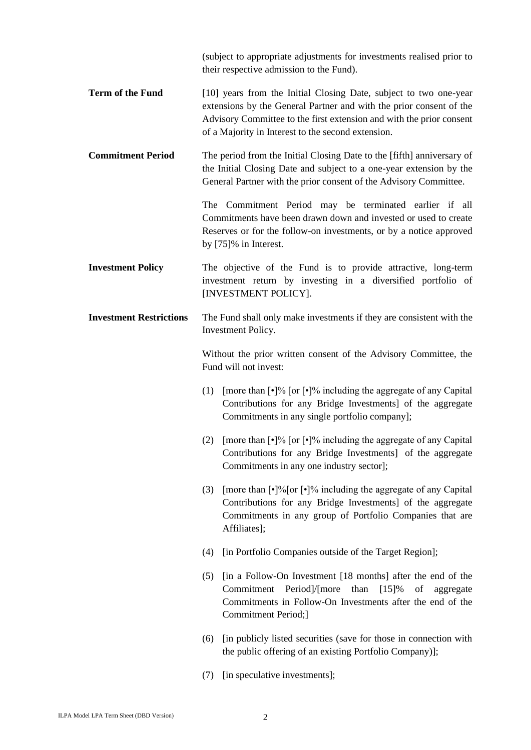(subject to appropriate adjustments for investments realised prior to their respective admission to the Fund).

- **Term of the Fund** [10] years from the Initial Closing Date, subject to two one-year extensions by the General Partner and with the prior consent of the Advisory Committee to the first extension and with the prior consent of a Majority in Interest to the second extension.
- **Commitment Period** The period from the Initial Closing Date to the [fifth] anniversary of the Initial Closing Date and subject to a one-year extension by the General Partner with the prior consent of the Advisory Committee.

The Commitment Period may be terminated earlier if all Commitments have been drawn down and invested or used to create Reserves or for the follow-on investments, or by a notice approved by [75]% in Interest.

**Investment Policy** The objective of the Fund is to provide attractive, long-term investment return by investing in a diversified portfolio of [INVESTMENT POLICY].

# **Investment Restrictions** The Fund shall only make investments if they are consistent with the Investment Policy.

Without the prior written consent of the Advisory Committee, the Fund will not invest:

- (1) [more than  $\lceil \cdot \rceil\%$  [or  $\lceil \cdot \rceil\%$  including the aggregate of any Capital Contributions for any Bridge Investments] of the aggregate Commitments in any single portfolio company];
- (2) [more than  $\lceil \cdot \rceil\%$  [or  $\lceil \cdot \rceil\%$  including the aggregate of any Capital Contributions for any Bridge Investments] of the aggregate Commitments in any one industry sector];
- (3) [more than  $\lceil \cdot \rceil\frac{9}{6}$  or  $\lceil \cdot \rceil\frac{9}{6}$  including the aggregate of any Capital Contributions for any Bridge Investments] of the aggregate Commitments in any group of Portfolio Companies that are Affiliates];
- (4) [in Portfolio Companies outside of the Target Region];
- (5) [in a Follow-On Investment [18 months] after the end of the Commitment Period]/[more than [15]% of aggregate Commitments in Follow-On Investments after the end of the Commitment Period;]
- (6) [in publicly listed securities (save for those in connection with the public offering of an existing Portfolio Company)];
- (7) [in speculative investments];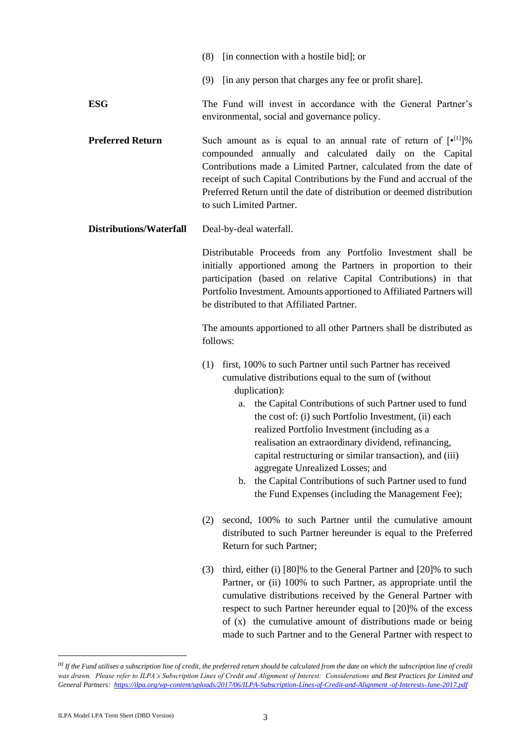- (8) [in connection with a hostile bid]; or
- (9) [in any person that charges any fee or profit share].
- **ESG** The Fund will invest in accordance with the General Partner's environmental, social and governance policy.
- **Preferred Return** Such amount as is equal to an annual rate of return of  $[e^{[1]}]\%$ compounded annually and calculated daily on the Capital Contributions made a Limited Partner, calculated from the date of receipt of such Capital Contributions by the Fund and accrual of the Preferred Return until the date of distribution or deemed distribution to such Limited Partner.
- **Distributions/Waterfall** Deal-by-deal waterfall.

Distributable Proceeds from any Portfolio Investment shall be initially apportioned among the Partners in proportion to their participation (based on relative Capital Contributions) in that Portfolio Investment. Amounts apportioned to Affiliated Partners will be distributed to that Affiliated Partner.

The amounts apportioned to all other Partners shall be distributed as follows:

- (1) first, 100% to such Partner until such Partner has received cumulative distributions equal to the sum of (without duplication):
	- a. the Capital Contributions of such Partner used to fund the cost of: (i) such Portfolio Investment, (ii) each realized Portfolio Investment (including as a realisation an extraordinary dividend, refinancing, capital restructuring or similar transaction), and (iii) aggregate Unrealized Losses; and
	- b. the Capital Contributions of such Partner used to fund the Fund Expenses (including the Management Fee);
- (2) second, 100% to such Partner until the cumulative amount distributed to such Partner hereunder is equal to the Preferred Return for such Partner;
- (3) third, either (i) [80]% to the General Partner and [20]% to such Partner, or (ii) 100% to such Partner, as appropriate until the cumulative distributions received by the General Partner with respect to such Partner hereunder equal to [20]% of the excess of (x) the cumulative amount of distributions made or being made to such Partner and to the General Partner with respect to

<sup>&</sup>lt;sup>[1]</sup> If the Fund utilises a subscription line of credit, the preferred return should be calculated from the date on which the subscription line of credit was drawn. Please refer to ILPA's Subscription Lines of Credit and Alignment of Interest: Considerations and Best Practices for Limited and *General Partners: [https://ilpa.org/wp-content/uploads/2017/06/ILPA-Subscription-Lines-of-Credit-and-Alignment -of-Interests-June-2017.pdf](https://ilpa.org/wp-content/uploads/2017/06/ILPA-Subscription-Lines-of-Credit-and-Alignment%20-of-Interests-June-2017.pdf)*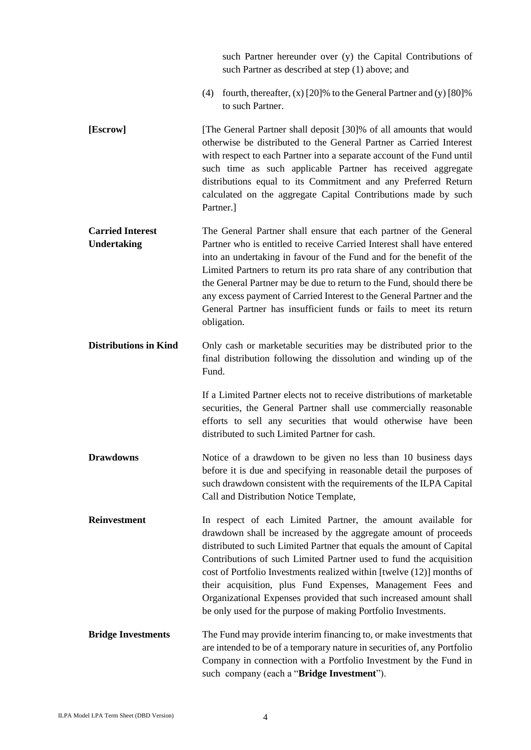|                                               | such Partner hereunder over (y) the Capital Contributions of<br>such Partner as described at step (1) above; and                                                                                                                                                                                                                                                                                                                                                                                                                                            |
|-----------------------------------------------|-------------------------------------------------------------------------------------------------------------------------------------------------------------------------------------------------------------------------------------------------------------------------------------------------------------------------------------------------------------------------------------------------------------------------------------------------------------------------------------------------------------------------------------------------------------|
|                                               | fourth, thereafter, $(x)$ [20]% to the General Partner and $(y)$ [80]%<br>(4)<br>to such Partner.                                                                                                                                                                                                                                                                                                                                                                                                                                                           |
| [Escrow]                                      | [The General Partner shall deposit [30]% of all amounts that would<br>otherwise be distributed to the General Partner as Carried Interest<br>with respect to each Partner into a separate account of the Fund until<br>such time as such applicable Partner has received aggregate<br>distributions equal to its Commitment and any Preferred Return<br>calculated on the aggregate Capital Contributions made by such<br>Partner.]                                                                                                                         |
| <b>Carried Interest</b><br><b>Undertaking</b> | The General Partner shall ensure that each partner of the General<br>Partner who is entitled to receive Carried Interest shall have entered<br>into an undertaking in favour of the Fund and for the benefit of the<br>Limited Partners to return its pro rata share of any contribution that<br>the General Partner may be due to return to the Fund, should there be<br>any excess payment of Carried Interest to the General Partner and the<br>General Partner has insufficient funds or fails to meet its return<br>obligation.                        |
| <b>Distributions in Kind</b>                  | Only cash or marketable securities may be distributed prior to the<br>final distribution following the dissolution and winding up of the<br>Fund.                                                                                                                                                                                                                                                                                                                                                                                                           |
|                                               | If a Limited Partner elects not to receive distributions of marketable<br>securities, the General Partner shall use commercially reasonable<br>efforts to sell any securities that would otherwise have been<br>distributed to such Limited Partner for cash.                                                                                                                                                                                                                                                                                               |
| <b>Drawdowns</b>                              | Notice of a drawdown to be given no less than 10 business days<br>before it is due and specifying in reasonable detail the purposes of<br>such drawdown consistent with the requirements of the ILPA Capital<br>Call and Distribution Notice Template,                                                                                                                                                                                                                                                                                                      |
| <b>Reinvestment</b>                           | In respect of each Limited Partner, the amount available for<br>drawdown shall be increased by the aggregate amount of proceeds<br>distributed to such Limited Partner that equals the amount of Capital<br>Contributions of such Limited Partner used to fund the acquisition<br>cost of Portfolio Investments realized within [twelve (12)] months of<br>their acquisition, plus Fund Expenses, Management Fees and<br>Organizational Expenses provided that such increased amount shall<br>be only used for the purpose of making Portfolio Investments. |
| <b>Bridge Investments</b>                     | The Fund may provide interim financing to, or make investments that<br>are intended to be of a temporary nature in securities of, any Portfolio<br>Company in connection with a Portfolio Investment by the Fund in<br>such company (each a "Bridge Investment").                                                                                                                                                                                                                                                                                           |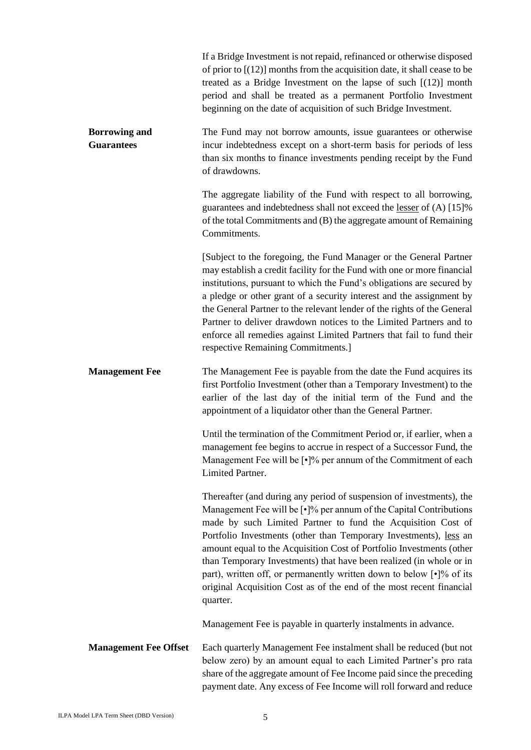|                                           | If a Bridge Investment is not repaid, refinanced or otherwise disposed<br>of prior to $[(12)]$ months from the acquisition date, it shall cease to be<br>treated as a Bridge Investment on the lapse of such $[(12)]$ month<br>period and shall be treated as a permanent Portfolio Investment<br>beginning on the date of acquisition of such Bridge Investment.                                                                                                                                                                                                                                             |
|-------------------------------------------|---------------------------------------------------------------------------------------------------------------------------------------------------------------------------------------------------------------------------------------------------------------------------------------------------------------------------------------------------------------------------------------------------------------------------------------------------------------------------------------------------------------------------------------------------------------------------------------------------------------|
| <b>Borrowing and</b><br><b>Guarantees</b> | The Fund may not borrow amounts, issue guarantees or otherwise<br>incur indebtedness except on a short-term basis for periods of less<br>than six months to finance investments pending receipt by the Fund<br>of drawdowns.                                                                                                                                                                                                                                                                                                                                                                                  |
|                                           | The aggregate liability of the Fund with respect to all borrowing,<br>guarantees and indebtedness shall not exceed the lesser of (A) [15]%<br>of the total Commitments and (B) the aggregate amount of Remaining<br>Commitments.                                                                                                                                                                                                                                                                                                                                                                              |
|                                           | [Subject to the foregoing, the Fund Manager or the General Partner<br>may establish a credit facility for the Fund with one or more financial<br>institutions, pursuant to which the Fund's obligations are secured by<br>a pledge or other grant of a security interest and the assignment by<br>the General Partner to the relevant lender of the rights of the General<br>Partner to deliver drawdown notices to the Limited Partners and to<br>enforce all remedies against Limited Partners that fail to fund their<br>respective Remaining Commitments.]                                                |
| <b>Management Fee</b>                     | The Management Fee is payable from the date the Fund acquires its<br>first Portfolio Investment (other than a Temporary Investment) to the<br>earlier of the last day of the initial term of the Fund and the<br>appointment of a liquidator other than the General Partner.                                                                                                                                                                                                                                                                                                                                  |
|                                           | Until the termination of the Commitment Period or, if earlier, when a<br>management fee begins to accrue in respect of a Successor Fund, the<br>Management Fee will be [.]% per annum of the Commitment of each<br>Limited Partner.                                                                                                                                                                                                                                                                                                                                                                           |
|                                           | Thereafter (and during any period of suspension of investments), the<br>Management Fee will be $\lceil \cdot \rceil\%$ per annum of the Capital Contributions<br>made by such Limited Partner to fund the Acquisition Cost of<br>Portfolio Investments (other than Temporary Investments), less an<br>amount equal to the Acquisition Cost of Portfolio Investments (other<br>than Temporary Investments) that have been realized (in whole or in<br>part), written off, or permanently written down to below [.]% of its<br>original Acquisition Cost as of the end of the most recent financial<br>quarter. |
|                                           | Management Fee is payable in quarterly instalments in advance.                                                                                                                                                                                                                                                                                                                                                                                                                                                                                                                                                |
| <b>Management Fee Offset</b>              | Each quarterly Management Fee instalment shall be reduced (but not<br>below zero) by an amount equal to each Limited Partner's pro rata<br>share of the aggregate amount of Fee Income paid since the preceding<br>payment date. Any excess of Fee Income will roll forward and reduce                                                                                                                                                                                                                                                                                                                        |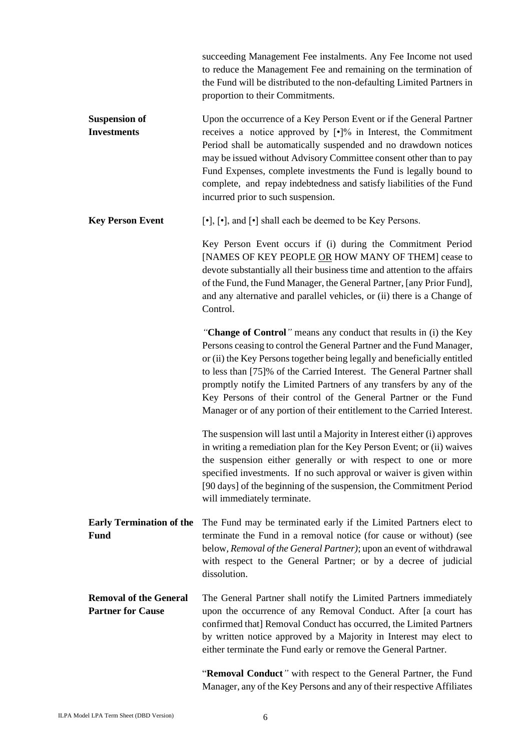|                                                           | succeeding Management Fee instalments. Any Fee Income not used<br>to reduce the Management Fee and remaining on the termination of<br>the Fund will be distributed to the non-defaulting Limited Partners in<br>proportion to their Commitments.                                                                                                                                                                                                                                                                    |
|-----------------------------------------------------------|---------------------------------------------------------------------------------------------------------------------------------------------------------------------------------------------------------------------------------------------------------------------------------------------------------------------------------------------------------------------------------------------------------------------------------------------------------------------------------------------------------------------|
| <b>Suspension of</b><br><b>Investments</b>                | Upon the occurrence of a Key Person Event or if the General Partner<br>receives a notice approved by $[\cdot]$ % in Interest, the Commitment<br>Period shall be automatically suspended and no drawdown notices<br>may be issued without Advisory Committee consent other than to pay<br>Fund Expenses, complete investments the Fund is legally bound to<br>complete, and repay indebtedness and satisfy liabilities of the Fund<br>incurred prior to such suspension.                                             |
| <b>Key Person Event</b>                                   | [•], [•], and [•] shall each be deemed to be Key Persons.                                                                                                                                                                                                                                                                                                                                                                                                                                                           |
|                                                           | Key Person Event occurs if (i) during the Commitment Period<br>[NAMES OF KEY PEOPLE OR HOW MANY OF THEM] cease to<br>devote substantially all their business time and attention to the affairs<br>of the Fund, the Fund Manager, the General Partner, [any Prior Fund],<br>and any alternative and parallel vehicles, or (ii) there is a Change of<br>Control.                                                                                                                                                      |
|                                                           | "Change of Control" means any conduct that results in (i) the Key<br>Persons ceasing to control the General Partner and the Fund Manager,<br>or (ii) the Key Persons together being legally and beneficially entitled<br>to less than [75]% of the Carried Interest. The General Partner shall<br>promptly notify the Limited Partners of any transfers by any of the<br>Key Persons of their control of the General Partner or the Fund<br>Manager or of any portion of their entitlement to the Carried Interest. |
|                                                           | The suspension will last until a Majority in Interest either (i) approves<br>in writing a remediation plan for the Key Person Event; or (ii) waives<br>the suspension either generally or with respect to one or more<br>specified investments. If no such approval or waiver is given within<br>[90 days] of the beginning of the suspension, the Commitment Period<br>will immediately terminate.                                                                                                                 |
| <b>Early Termination of the</b><br><b>Fund</b>            | The Fund may be terminated early if the Limited Partners elect to<br>terminate the Fund in a removal notice (for cause or without) (see<br>below, Removal of the General Partner); upon an event of withdrawal<br>with respect to the General Partner; or by a decree of judicial<br>dissolution.                                                                                                                                                                                                                   |
| <b>Removal of the General</b><br><b>Partner for Cause</b> | The General Partner shall notify the Limited Partners immediately<br>upon the occurrence of any Removal Conduct. After [a court has<br>confirmed that] Removal Conduct has occurred, the Limited Partners<br>by written notice approved by a Majority in Interest may elect to<br>either terminate the Fund early or remove the General Partner.                                                                                                                                                                    |
|                                                           | "Removal Conduct" with respect to the General Partner, the Fund<br>Manager, any of the Key Persons and any of their respective Affiliates                                                                                                                                                                                                                                                                                                                                                                           |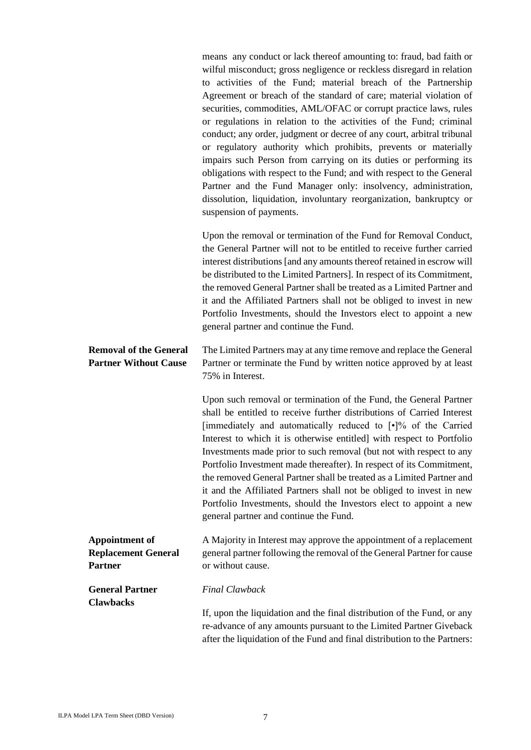| means any conduct or lack thereof amounting to: fraud, bad faith or    |
|------------------------------------------------------------------------|
| wilful misconduct; gross negligence or reckless disregard in relation  |
| to activities of the Fund; material breach of the Partnership          |
| Agreement or breach of the standard of care; material violation of     |
| securities, commodities, AML/OFAC or corrupt practice laws, rules      |
| or regulations in relation to the activities of the Fund; criminal     |
| conduct; any order, judgment or decree of any court, arbitral tribunal |
| or regulatory authority which prohibits, prevents or materially        |
| impairs such Person from carrying on its duties or performing its      |
| obligations with respect to the Fund; and with respect to the General  |
| Partner and the Fund Manager only: insolvency, administration,         |
| dissolution, liquidation, involuntary reorganization, bankruptcy or    |
| suspension of payments.                                                |
|                                                                        |

Upon the removal or termination of the Fund for Removal Conduct, the General Partner will not to be entitled to receive further carried interest distributions [and any amounts thereof retained in escrow will be distributed to the Limited Partners]. In respect of its Commitment, the removed General Partner shall be treated as a Limited Partner and it and the Affiliated Partners shall not be obliged to invest in new Portfolio Investments, should the Investors elect to appoint a new general partner and continue the Fund.

#### **Removal of the General Partner Without Cause** The Limited Partners may at any time remove and replace the General Partner or terminate the Fund by written notice approved by at least 75% in Interest.

Upon such removal or termination of the Fund, the General Partner shall be entitled to receive further distributions of Carried Interest [immediately and automatically reduced to [•]% of the Carried Interest to which it is otherwise entitled] with respect to Portfolio Investments made prior to such removal (but not with respect to any Portfolio Investment made thereafter). In respect of its Commitment, the removed General Partner shall be treated as a Limited Partner and it and the Affiliated Partners shall not be obliged to invest in new Portfolio Investments, should the Investors elect to appoint a new general partner and continue the Fund.

#### **Appointment of Replacement General Partner** A Majority in Interest may approve the appointment of a replacement general partner following the removal of the General Partner for cause or without cause.

**General Partner Clawbacks**

*Final Clawback*

If, upon the liquidation and the final distribution of the Fund, or any re-advance of any amounts pursuant to the Limited Partner Giveback after the liquidation of the Fund and final distribution to the Partners: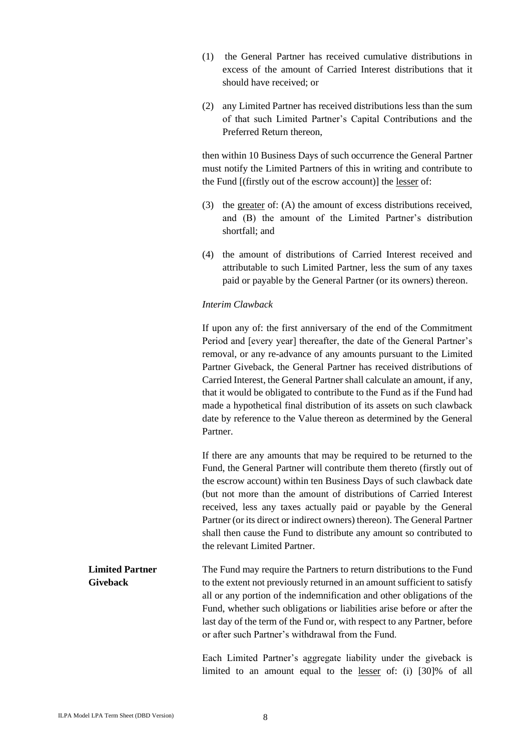- (1) the General Partner has received cumulative distributions in excess of the amount of Carried Interest distributions that it should have received; or
- (2) any Limited Partner has received distributions less than the sum of that such Limited Partner's Capital Contributions and the Preferred Return thereon,

then within 10 Business Days of such occurrence the General Partner must notify the Limited Partners of this in writing and contribute to the Fund [(firstly out of the escrow account)] the lesser of:

- (3) the greater of: (A) the amount of excess distributions received, and (B) the amount of the Limited Partner's distribution shortfall; and
- (4) the amount of distributions of Carried Interest received and attributable to such Limited Partner, less the sum of any taxes paid or payable by the General Partner (or its owners) thereon.

### *Interim Clawback*

If upon any of: the first anniversary of the end of the Commitment Period and [every year] thereafter, the date of the General Partner's removal, or any re-advance of any amounts pursuant to the Limited Partner Giveback, the General Partner has received distributions of Carried Interest, the General Partner shall calculate an amount, if any, that it would be obligated to contribute to the Fund as if the Fund had made a hypothetical final distribution of its assets on such clawback date by reference to the Value thereon as determined by the General Partner. If there are any amounts that may be required to be returned to the Fund, the General Partner will contribute them thereto (firstly out of the escrow account) within ten Business Days of such clawback date (but not more than the amount of distributions of Carried Interest received, less any taxes actually paid or payable by the General Partner (or its direct or indirect owners) thereon). The General Partner shall then cause the Fund to distribute any amount so contributed to the relevant Limited Partner.

**Limited Partner Giveback** The Fund may require the Partners to return distributions to the Fund to the extent not previously returned in an amount sufficient to satisfy all or any portion of the indemnification and other obligations of the Fund, whether such obligations or liabilities arise before or after the last day of the term of the Fund or, with respect to any Partner, before or after such Partner's withdrawal from the Fund.

> Each Limited Partner's aggregate liability under the giveback is limited to an amount equal to the lesser of: (i) [30]% of all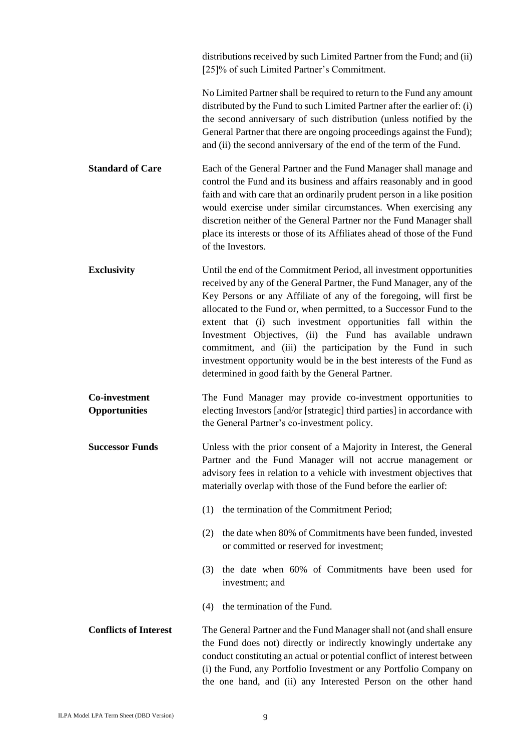|                                              | distributions received by such Limited Partner from the Fund; and (ii)<br>[25]% of such Limited Partner's Commitment.                                                                                                                                                                                                                                                                                                                                                                                                                                                                                                 |
|----------------------------------------------|-----------------------------------------------------------------------------------------------------------------------------------------------------------------------------------------------------------------------------------------------------------------------------------------------------------------------------------------------------------------------------------------------------------------------------------------------------------------------------------------------------------------------------------------------------------------------------------------------------------------------|
|                                              | No Limited Partner shall be required to return to the Fund any amount<br>distributed by the Fund to such Limited Partner after the earlier of: (i)<br>the second anniversary of such distribution (unless notified by the<br>General Partner that there are ongoing proceedings against the Fund);<br>and (ii) the second anniversary of the end of the term of the Fund.                                                                                                                                                                                                                                             |
| <b>Standard of Care</b>                      | Each of the General Partner and the Fund Manager shall manage and<br>control the Fund and its business and affairs reasonably and in good<br>faith and with care that an ordinarily prudent person in a like position<br>would exercise under similar circumstances. When exercising any<br>discretion neither of the General Partner nor the Fund Manager shall<br>place its interests or those of its Affiliates ahead of those of the Fund<br>of the Investors.                                                                                                                                                    |
| <b>Exclusivity</b>                           | Until the end of the Commitment Period, all investment opportunities<br>received by any of the General Partner, the Fund Manager, any of the<br>Key Persons or any Affiliate of any of the foregoing, will first be<br>allocated to the Fund or, when permitted, to a Successor Fund to the<br>extent that (i) such investment opportunities fall within the<br>Investment Objectives, (ii) the Fund has available undrawn<br>commitment, and (iii) the participation by the Fund in such<br>investment opportunity would be in the best interests of the Fund as<br>determined in good faith by the General Partner. |
| <b>Co-investment</b><br><b>Opportunities</b> | The Fund Manager may provide co-investment opportunities to<br>electing Investors [and/or [strategic] third parties] in accordance with<br>the General Partner's co-investment policy.                                                                                                                                                                                                                                                                                                                                                                                                                                |
| <b>Successor Funds</b>                       | Unless with the prior consent of a Majority in Interest, the General<br>Partner and the Fund Manager will not accrue management or<br>advisory fees in relation to a vehicle with investment objectives that<br>materially overlap with those of the Fund before the earlier of:                                                                                                                                                                                                                                                                                                                                      |
|                                              | the termination of the Commitment Period;<br>(1)                                                                                                                                                                                                                                                                                                                                                                                                                                                                                                                                                                      |
|                                              | the date when 80% of Commitments have been funded, invested<br>(2)<br>or committed or reserved for investment;                                                                                                                                                                                                                                                                                                                                                                                                                                                                                                        |
|                                              | the date when 60% of Commitments have been used for<br>(3)<br>investment; and                                                                                                                                                                                                                                                                                                                                                                                                                                                                                                                                         |
|                                              | the termination of the Fund.<br>(4)                                                                                                                                                                                                                                                                                                                                                                                                                                                                                                                                                                                   |
| <b>Conflicts of Interest</b>                 | The General Partner and the Fund Manager shall not (and shall ensure<br>the Fund does not) directly or indirectly knowingly undertake any<br>conduct constituting an actual or potential conflict of interest between<br>(i) the Fund, any Portfolio Investment or any Portfolio Company on<br>the one hand, and (ii) any Interested Person on the other hand                                                                                                                                                                                                                                                         |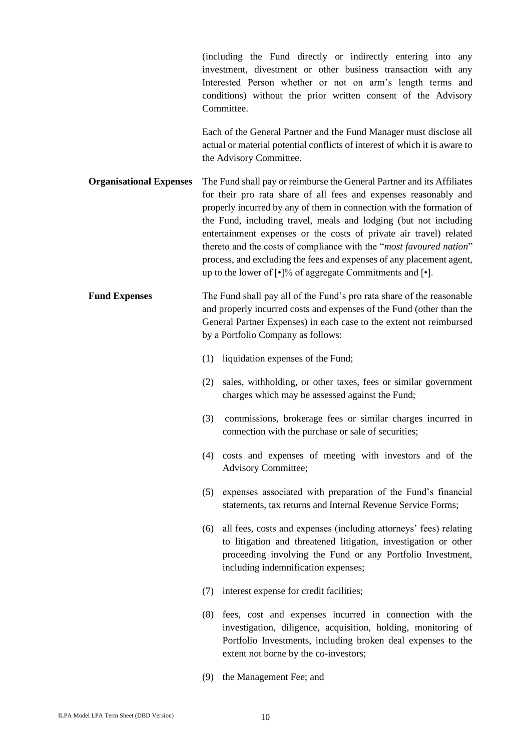(including the Fund directly or indirectly entering into any investment, divestment or other business transaction with any Interested Person whether or not on arm's length terms and conditions) without the prior written consent of the Advisory **Committee** 

Each of the General Partner and the Fund Manager must disclose all actual or material potential conflicts of interest of which it is aware to the Advisory Committee.

**Organisational Expenses** The Fund shall pay or reimburse the General Partner and its Affiliates for their pro rata share of all fees and expenses reasonably and properly incurred by any of them in connection with the formation of the Fund, including travel, meals and lodging (but not including entertainment expenses or the costs of private air travel) related thereto and the costs of compliance with the "*most favoured nation*" process, and excluding the fees and expenses of any placement agent, up to the lower of [•]% of aggregate Commitments and [•].

- **Fund Expenses** The Fund shall pay all of the Fund's pro rata share of the reasonable and properly incurred costs and expenses of the Fund (other than the General Partner Expenses) in each case to the extent not reimbursed by a Portfolio Company as follows:
	- (1) liquidation expenses of the Fund;
	- (2) sales, withholding, or other taxes, fees or similar government charges which may be assessed against the Fund;
	- (3) commissions, brokerage fees or similar charges incurred in connection with the purchase or sale of securities;
	- (4) costs and expenses of meeting with investors and of the Advisory Committee;
	- (5) expenses associated with preparation of the Fund's financial statements, tax returns and Internal Revenue Service Forms;
	- (6) all fees, costs and expenses (including attorneys' fees) relating to litigation and threatened litigation, investigation or other proceeding involving the Fund or any Portfolio Investment, including indemnification expenses;
	- (7) interest expense for credit facilities;
	- (8) fees, cost and expenses incurred in connection with the investigation, diligence, acquisition, holding, monitoring of Portfolio Investments, including broken deal expenses to the extent not borne by the co-investors;
	- (9) the Management Fee; and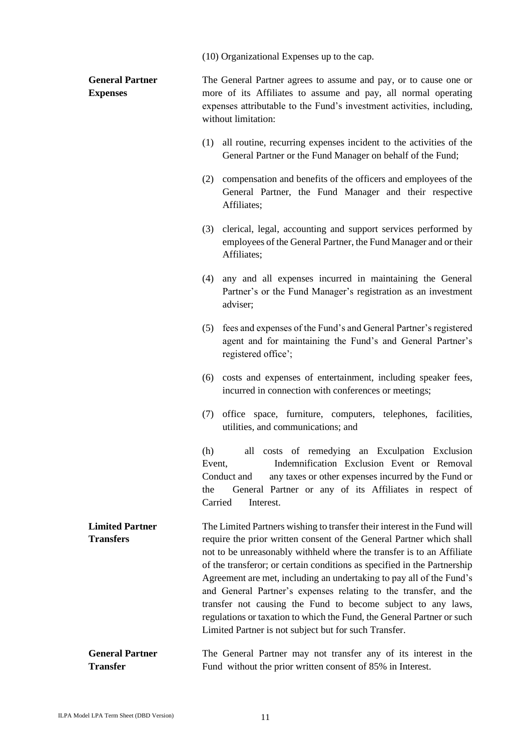(10) Organizational Expenses up to the cap.

| <b>General Partner</b><br><b>Expenses</b>  | The General Partner agrees to assume and pay, or to cause one or<br>more of its Affiliates to assume and pay, all normal operating<br>expenses attributable to the Fund's investment activities, including,<br>without limitation:                                                                                                                                                                                                                                                                                                                                                                                                                   |
|--------------------------------------------|------------------------------------------------------------------------------------------------------------------------------------------------------------------------------------------------------------------------------------------------------------------------------------------------------------------------------------------------------------------------------------------------------------------------------------------------------------------------------------------------------------------------------------------------------------------------------------------------------------------------------------------------------|
|                                            | (1) all routine, recurring expenses incident to the activities of the<br>General Partner or the Fund Manager on behalf of the Fund;                                                                                                                                                                                                                                                                                                                                                                                                                                                                                                                  |
|                                            | compensation and benefits of the officers and employees of the<br>(2)<br>General Partner, the Fund Manager and their respective<br>Affiliates;                                                                                                                                                                                                                                                                                                                                                                                                                                                                                                       |
|                                            | (3) clerical, legal, accounting and support services performed by<br>employees of the General Partner, the Fund Manager and or their<br>Affiliates;                                                                                                                                                                                                                                                                                                                                                                                                                                                                                                  |
|                                            | (4) any and all expenses incurred in maintaining the General<br>Partner's or the Fund Manager's registration as an investment<br>adviser;                                                                                                                                                                                                                                                                                                                                                                                                                                                                                                            |
|                                            | fees and expenses of the Fund's and General Partner's registered<br>(5)<br>agent and for maintaining the Fund's and General Partner's<br>registered office';                                                                                                                                                                                                                                                                                                                                                                                                                                                                                         |
|                                            | (6) costs and expenses of entertainment, including speaker fees,<br>incurred in connection with conferences or meetings;                                                                                                                                                                                                                                                                                                                                                                                                                                                                                                                             |
|                                            | office space, furniture, computers, telephones, facilities,<br>(7)<br>utilities, and communications; and                                                                                                                                                                                                                                                                                                                                                                                                                                                                                                                                             |
|                                            | all costs of remedying an Exculpation Exclusion<br>(h)<br>Indemnification Exclusion Event or Removal<br>Event.<br>any taxes or other expenses incurred by the Fund or<br>Conduct and<br>General Partner or any of its Affiliates in respect of<br>the<br>Carried<br>Interest.                                                                                                                                                                                                                                                                                                                                                                        |
| <b>Limited Partner</b><br><b>Transfers</b> | The Limited Partners wishing to transfer their interest in the Fund will<br>require the prior written consent of the General Partner which shall<br>not to be unreasonably withheld where the transfer is to an Affiliate<br>of the transferor; or certain conditions as specified in the Partnership<br>Agreement are met, including an undertaking to pay all of the Fund's<br>and General Partner's expenses relating to the transfer, and the<br>transfer not causing the Fund to become subject to any laws,<br>regulations or taxation to which the Fund, the General Partner or such<br>Limited Partner is not subject but for such Transfer. |
| <b>General Partner</b><br><b>Transfer</b>  | The General Partner may not transfer any of its interest in the<br>Fund without the prior written consent of 85% in Interest.                                                                                                                                                                                                                                                                                                                                                                                                                                                                                                                        |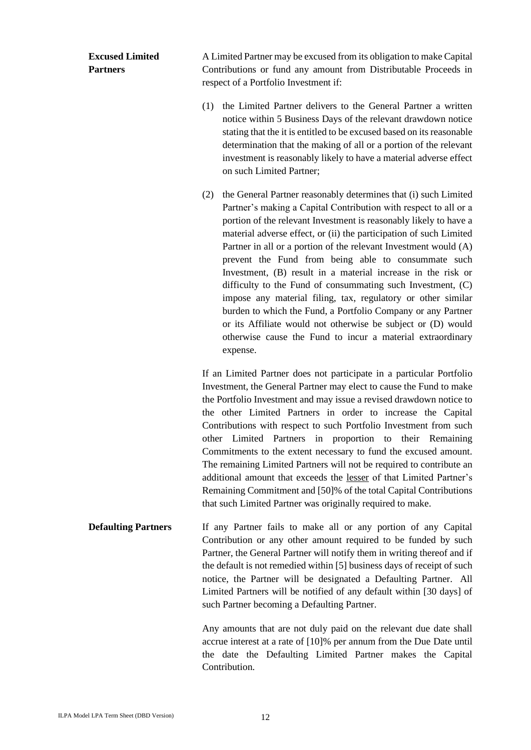# **Excused Limited Partners**

A Limited Partner may be excused from its obligation to make Capital Contributions or fund any amount from Distributable Proceeds in respect of a Portfolio Investment if:

- (1) the Limited Partner delivers to the General Partner a written notice within 5 Business Days of the relevant drawdown notice stating that the it is entitled to be excused based on its reasonable determination that the making of all or a portion of the relevant investment is reasonably likely to have a material adverse effect on such Limited Partner;
- (2) the General Partner reasonably determines that (i) such Limited Partner's making a Capital Contribution with respect to all or a portion of the relevant Investment is reasonably likely to have a material adverse effect, or (ii) the participation of such Limited Partner in all or a portion of the relevant Investment would (A) prevent the Fund from being able to consummate such Investment, (B) result in a material increase in the risk or difficulty to the Fund of consummating such Investment, (C) impose any material filing, tax, regulatory or other similar burden to which the Fund, a Portfolio Company or any Partner or its Affiliate would not otherwise be subject or (D) would otherwise cause the Fund to incur a material extraordinary expense.

If an Limited Partner does not participate in a particular Portfolio Investment, the General Partner may elect to cause the Fund to make the Portfolio Investment and may issue a revised drawdown notice to the other Limited Partners in order to increase the Capital Contributions with respect to such Portfolio Investment from such other Limited Partners in proportion to their Remaining Commitments to the extent necessary to fund the excused amount. The remaining Limited Partners will not be required to contribute an additional amount that exceeds the lesser of that Limited Partner's Remaining Commitment and [50]% of the total Capital Contributions that such Limited Partner was originally required to make.

**Defaulting Partners** If any Partner fails to make all or any portion of any Capital Contribution or any other amount required to be funded by such Partner, the General Partner will notify them in writing thereof and if the default is not remedied within [5] business days of receipt of such notice, the Partner will be designated a Defaulting Partner. All Limited Partners will be notified of any default within [30 days] of such Partner becoming a Defaulting Partner.

> Any amounts that are not duly paid on the relevant due date shall accrue interest at a rate of [10]% per annum from the Due Date until the date the Defaulting Limited Partner makes the Capital Contribution.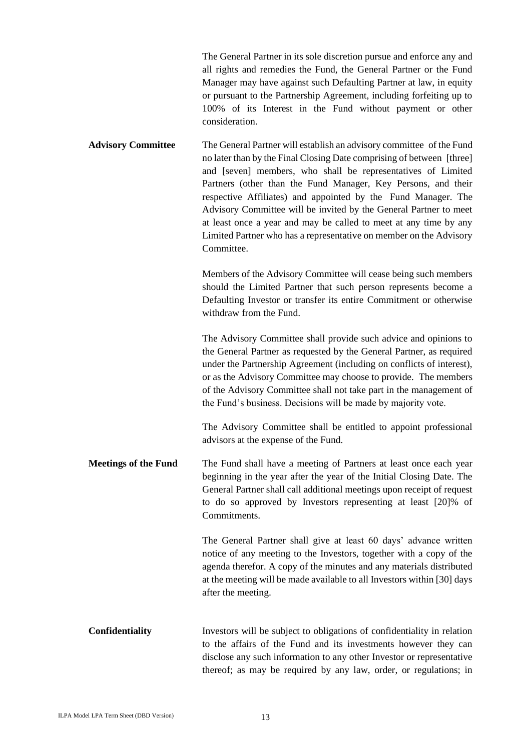|                             | The General Partner in its sole discretion pursue and enforce any and<br>all rights and remedies the Fund, the General Partner or the Fund<br>Manager may have against such Defaulting Partner at law, in equity<br>or pursuant to the Partnership Agreement, including forfeiting up to<br>100% of its Interest in the Fund without payment or other<br>consideration.                                                                                                                                                                                                       |
|-----------------------------|-------------------------------------------------------------------------------------------------------------------------------------------------------------------------------------------------------------------------------------------------------------------------------------------------------------------------------------------------------------------------------------------------------------------------------------------------------------------------------------------------------------------------------------------------------------------------------|
| <b>Advisory Committee</b>   | The General Partner will establish an advisory committee of the Fund<br>no later than by the Final Closing Date comprising of between [three]<br>and [seven] members, who shall be representatives of Limited<br>Partners (other than the Fund Manager, Key Persons, and their<br>respective Affiliates) and appointed by the Fund Manager. The<br>Advisory Committee will be invited by the General Partner to meet<br>at least once a year and may be called to meet at any time by any<br>Limited Partner who has a representative on member on the Advisory<br>Committee. |
|                             | Members of the Advisory Committee will cease being such members<br>should the Limited Partner that such person represents become a<br>Defaulting Investor or transfer its entire Commitment or otherwise<br>withdraw from the Fund.                                                                                                                                                                                                                                                                                                                                           |
|                             | The Advisory Committee shall provide such advice and opinions to<br>the General Partner as requested by the General Partner, as required<br>under the Partnership Agreement (including on conflicts of interest),<br>or as the Advisory Committee may choose to provide. The members<br>of the Advisory Committee shall not take part in the management of<br>the Fund's business. Decisions will be made by majority vote.                                                                                                                                                   |
|                             | The Advisory Committee shall be entitled to appoint professional<br>advisors at the expense of the Fund.                                                                                                                                                                                                                                                                                                                                                                                                                                                                      |
| <b>Meetings of the Fund</b> | The Fund shall have a meeting of Partners at least once each year<br>beginning in the year after the year of the Initial Closing Date. The<br>General Partner shall call additional meetings upon receipt of request<br>to do so approved by Investors representing at least [20]% of<br>Commitments.                                                                                                                                                                                                                                                                         |
|                             | The General Partner shall give at least 60 days' advance written<br>notice of any meeting to the Investors, together with a copy of the<br>agenda therefor. A copy of the minutes and any materials distributed<br>at the meeting will be made available to all Investors within [30] days<br>after the meeting.                                                                                                                                                                                                                                                              |
| Confidentiality             | Investors will be subject to obligations of confidentiality in relation<br>to the affairs of the Fund and its investments however they can<br>disclose any such information to any other Investor or representative<br>thereof; as may be required by any law, order, or regulations; in                                                                                                                                                                                                                                                                                      |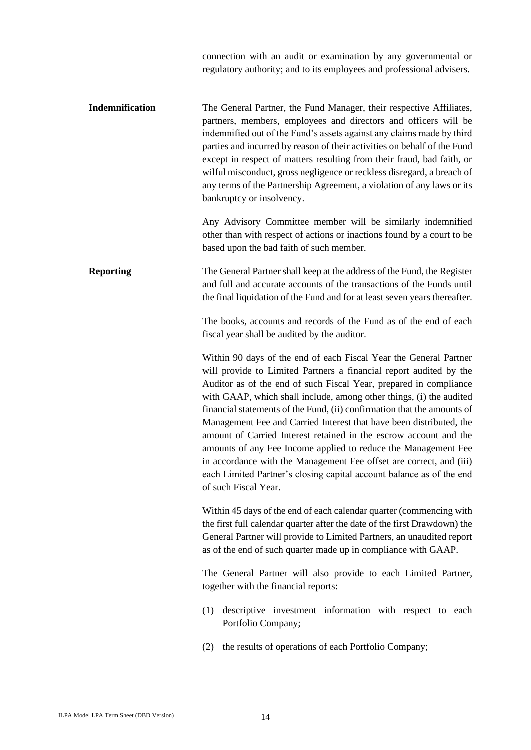connection with an audit or examination by any governmental or regulatory authority; and to its employees and professional advisers.

**Indemnification** The General Partner, the Fund Manager, their respective Affiliates, partners, members, employees and directors and officers will be indemnified out of the Fund's assets against any claims made by third parties and incurred by reason of their activities on behalf of the Fund except in respect of matters resulting from their fraud, bad faith, or wilful misconduct, gross negligence or reckless disregard, a breach of any terms of the Partnership Agreement, a violation of any laws or its bankruptcy or insolvency.

> Any Advisory Committee member will be similarly indemnified other than with respect of actions or inactions found by a court to be based upon the bad faith of such member.

**Reporting** The General Partner shall keep at the address of the Fund, the Register and full and accurate accounts of the transactions of the Funds until the final liquidation of the Fund and for at least seven years thereafter.

> The books, accounts and records of the Fund as of the end of each fiscal year shall be audited by the auditor.

> Within 90 days of the end of each Fiscal Year the General Partner will provide to Limited Partners a financial report audited by the Auditor as of the end of such Fiscal Year, prepared in compliance with GAAP, which shall include, among other things, (i) the audited financial statements of the Fund, (ii) confirmation that the amounts of Management Fee and Carried Interest that have been distributed, the amount of Carried Interest retained in the escrow account and the amounts of any Fee Income applied to reduce the Management Fee in accordance with the Management Fee offset are correct, and (iii) each Limited Partner's closing capital account balance as of the end of such Fiscal Year.

> Within 45 days of the end of each calendar quarter (commencing with the first full calendar quarter after the date of the first Drawdown) the General Partner will provide to Limited Partners, an unaudited report as of the end of such quarter made up in compliance with GAAP.

> The General Partner will also provide to each Limited Partner, together with the financial reports:

- (1) descriptive investment information with respect to each Portfolio Company;
- (2) the results of operations of each Portfolio Company;